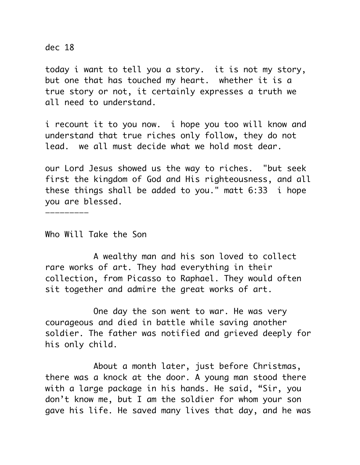dec 18

today i want to tell you a story. it is not my story, but one that has touched my heart. whether it is a true story or not, it certainly expresses a truth we all need to understand.

i recount it to you now. i hope you too will know and understand that true riches only follow, they do not lead. we all must decide what we hold most dear.

our Lord Jesus showed us the way to riches. "but seek first the kingdom of God and His righteousness, and all these things shall be added to you." matt 6:33 i hope you are blessed.

Who Will Take the Son

—————————

 A wealthy man and his son loved to collect rare works of art. They had everything in their collection, from Picasso to Raphael. They would often sit together and admire the great works of art.

 One day the son went to war. He was very courageous and died in battle while saving another soldier. The father was notified and grieved deeply for his only child.

 About a month later, just before Christmas, there was a knock at the door. A young man stood there with a large package in his hands. He said, "Sir, you don't know me, but I am the soldier for whom your son gave his life. He saved many lives that day, and he was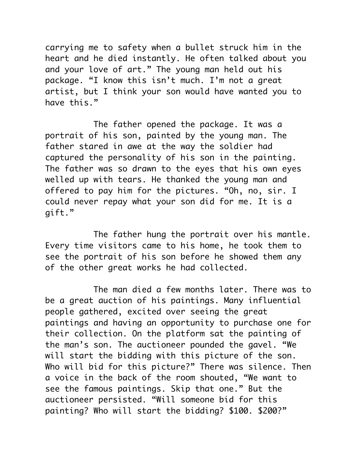carrying me to safety when a bullet struck him in the heart and he died instantly. He often talked about you and your love of art." The young man held out his package. "I know this isn't much. I'm not a great artist, but I think your son would have wanted you to have this."

 The father opened the package. It was a portrait of his son, painted by the young man. The father stared in awe at the way the soldier had captured the personality of his son in the painting. The father was so drawn to the eyes that his own eyes welled up with tears. He thanked the young man and offered to pay him for the pictures. "Oh, no, sir. I could never repay what your son did for me. It is a gift."

 The father hung the portrait over his mantle. Every time visitors came to his home, he took them to see the portrait of his son before he showed them any of the other great works he had collected.

 The man died a few months later. There was to be a great auction of his paintings. Many influential people gathered, excited over seeing the great paintings and having an opportunity to purchase one for their collection. On the platform sat the painting of the man's son. The auctioneer pounded the gavel. "We will start the bidding with this picture of the son. Who will bid for this picture?" There was silence. Then a voice in the back of the room shouted, "We want to see the famous paintings. Skip that one." But the auctioneer persisted. "Will someone bid for this painting? Who will start the bidding? \$100. \$200?"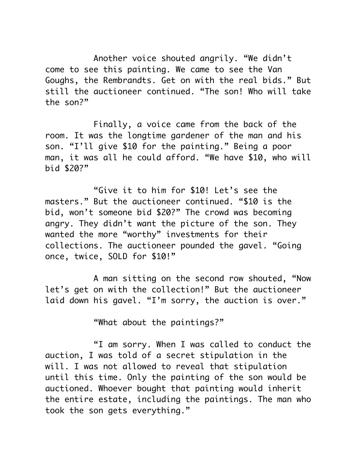Another voice shouted angrily. "We didn't come to see this painting. We came to see the Van Goughs, the Rembrandts. Get on with the real bids." But still the auctioneer continued. "The son! Who will take the son?"

 Finally, a voice came from the back of the room. It was the longtime gardener of the man and his son. "I'll give \$10 for the painting." Being a poor man, it was all he could afford. "We have \$10, who will bid \$20?"

 "Give it to him for \$10! Let's see the masters." But the auctioneer continued. "\$10 is the bid, won't someone bid \$20?" The crowd was becoming angry. They didn't want the picture of the son. They wanted the more "worthy" investments for their collections. The auctioneer pounded the gavel. "Going once, twice, SOLD for \$10!"

 A man sitting on the second row shouted, "Now let's get on with the collection!" But the auctioneer laid down his gavel. "I'm sorry, the auction is over."

"What about the paintings?"

 "I am sorry. When I was called to conduct the auction, I was told of a secret stipulation in the will. I was not allowed to reveal that stipulation until this time. Only the painting of the son would be auctioned. Whoever bought that painting would inherit the entire estate, including the paintings. The man who took the son gets everything."